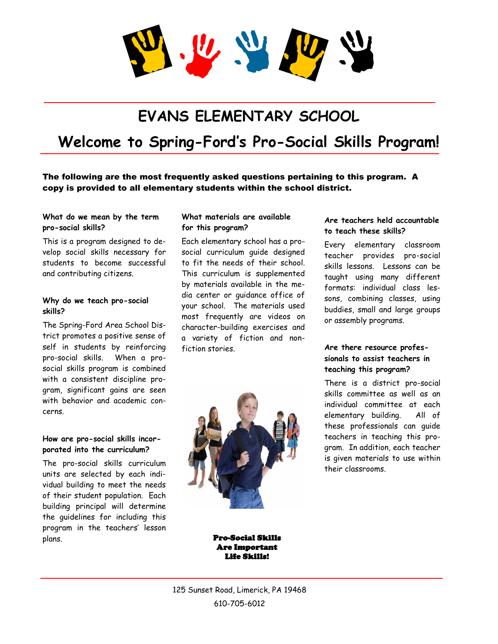U W

# **EVANS ELEMENTARY SCHOOL**

# **Welcome to Spring-Ford's Pro-Social Skills Program!**

The following are the most frequently asked questions pertaining to this program. A copy is provided to all elementary students within the school district.

#### **What do we mean by the term pro-social skills?**

This is a program designed to develop social skills necessary for students to become successful and contributing citizens.

#### **Why do we teach pro-social skills?**

The Spring-Ford Area School District promotes a positive sense of self in students by reinforcing pro-social skills. When a prosocial skills program is combined with a consistent discipline program, significant gains are seen with behavior and academic concerns.

### **How are pro-social skills incorporated into the curriculum?**

The pro-social skills curriculum units are selected by each individual building to meet the needs of their student population. Each building principal will determine the guidelines for including this program in the teachers' lesson plans.

#### **What materials are available for this program?**

Each elementary school has a prosocial curriculum guide designed to fit the needs of their school. This curriculum is supplemented by materials available in the media center or guidance office of your school. The materials used most frequently are videos on character-building exercises and a variety of fiction and nonfiction stories.



### **Are teachers held accountable to teach these skills?**

Every elementary classroom teacher provides pro-social skills lessons. Lessons can be taught using many different formats: individual class lessons, combining classes, using buddies, small and large groups or assembly programs.

### **Are there resource professionals to assist teachers in teaching this program?**

There is a district pro-social skills committee as well as an individual committee at each elementary building. All of these professionals can guide teachers in teaching this program. In addition, each teacher is given materials to use within their classrooms.

Pro-Social Skills Are Important Life Skills!